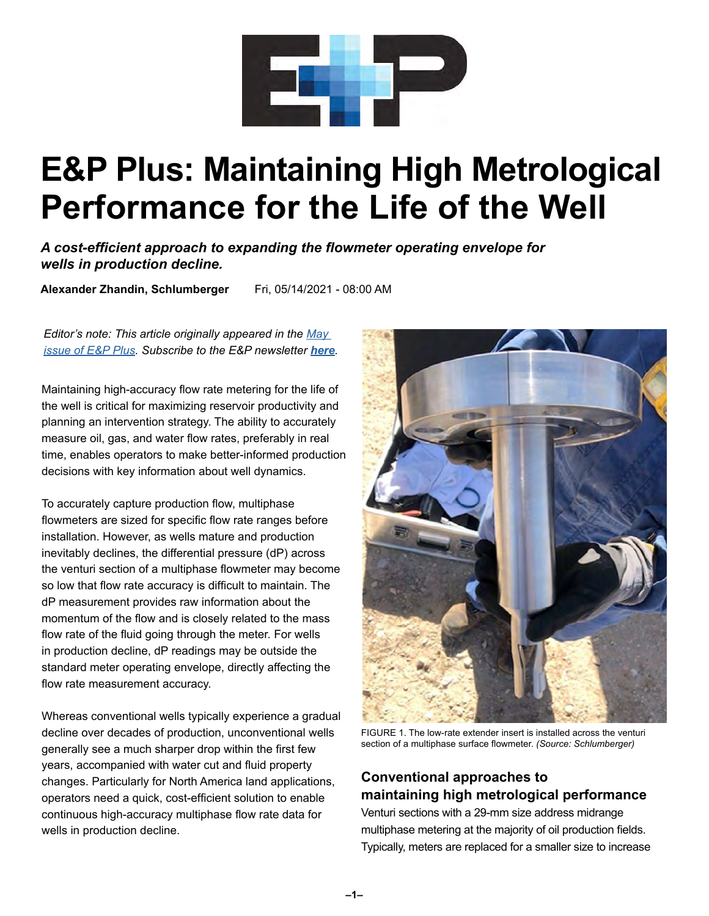

# **E&P Plus: Maintaining High Metrological Performance for the Life of the Well**

*A cost-efficient approach to expanding the flowmeter operating envelope for wells in production decline.*

**Alexander Zhandin, Schlumberger** Fri, 05/14/2021 - 08:00 AM

*Editor's note: This article originally appeared in the [May](https://epplus.hartenergy.com/)  [issue of E&P Plus.](https://epplus.hartenergy.com/) Subscribe to the E&P newsletter [here](https://www.hartenergy.com/newsletters).*

Maintaining high-accuracy flow rate metering for the life of the well is critical for maximizing reservoir productivity and planning an intervention strategy. The ability to accurately measure oil, gas, and water flow rates, preferably in real time, enables operators to make better-informed production decisions with key information about well dynamics.

To accurately capture production flow, multiphase flowmeters are sized for specific flow rate ranges before installation. However, as wells mature and production inevitably declines, the differential pressure (dP) across the venturi section of a multiphase flowmeter may become so low that flow rate accuracy is difficult to maintain. The dP measurement provides raw information about the momentum of the flow and is closely related to the mass flow rate of the fluid going through the meter. For wells in production decline, dP readings may be outside the standard meter operating envelope, directly affecting the flow rate measurement accuracy.

Whereas conventional wells typically experience a gradual decline over decades of production, unconventional wells generally see a much sharper drop within the first few years, accompanied with water cut and fluid property changes. Particularly for North America land applications, operators need a quick, cost-efficient solution to enable continuous high-accuracy multiphase flow rate data for wells in production decline.



FIGURE 1. The low-rate extender insert is installed across the venturi section of a multiphase surface flowmeter. *(Source: Schlumberger)*

## **Conventional approaches to maintaining high metrological performance**

Venturi sections with a 29-mm size address midrange multiphase metering at the majority of oil production fields. Typically, meters are replaced for a smaller size to increase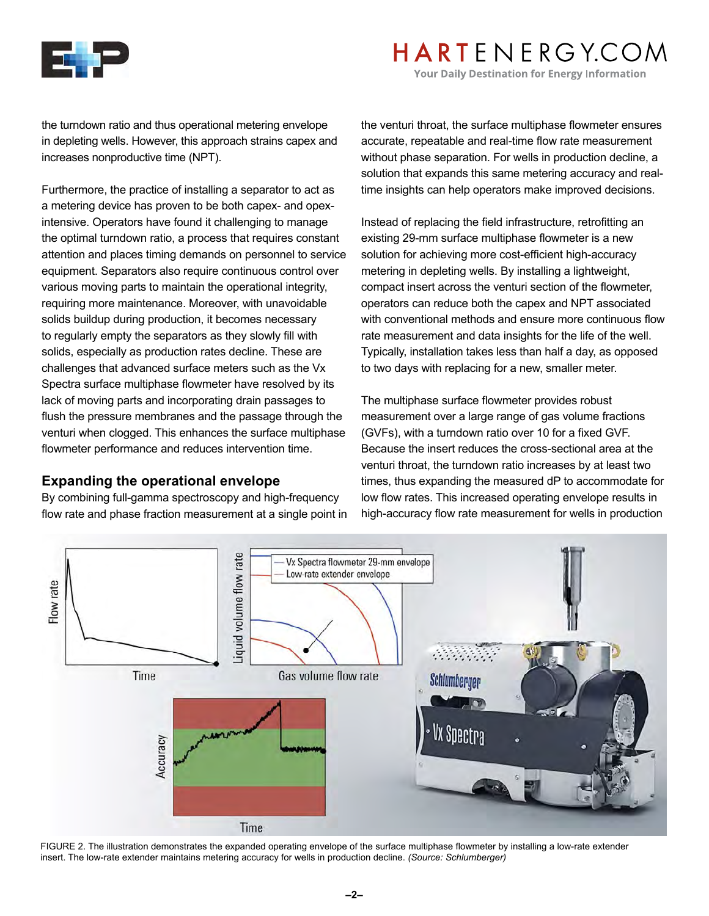

# HARTENERGY.COM

**Your Daily Destination for Energy Information** 

the turndown ratio and thus operational metering envelope in depleting wells. However, this approach strains capex and increases nonproductive time (NPT).

Furthermore, the practice of installing a separator to act as a metering device has proven to be both capex- and opexintensive. Operators have found it challenging to manage the optimal turndown ratio, a process that requires constant attention and places timing demands on personnel to service equipment. Separators also require continuous control over various moving parts to maintain the operational integrity, requiring more maintenance. Moreover, with unavoidable solids buildup during production, it becomes necessary to regularly empty the separators as they slowly fill with solids, especially as production rates decline. These are challenges that advanced surface meters such as the Vx Spectra surface multiphase flowmeter have resolved by its lack of moving parts and incorporating drain passages to flush the pressure membranes and the passage through the venturi when clogged. This enhances the surface multiphase flowmeter performance and reduces intervention time.

#### **Expanding the operational envelope**

By combining full-gamma spectroscopy and high-frequency flow rate and phase fraction measurement at a single point in the venturi throat, the surface multiphase flowmeter ensures accurate, repeatable and real-time flow rate measurement without phase separation. For wells in production decline, a solution that expands this same metering accuracy and realtime insights can help operators make improved decisions.

Instead of replacing the field infrastructure, retrofitting an existing 29-mm surface multiphase flowmeter is a new solution for achieving more cost-efficient high-accuracy metering in depleting wells. By installing a lightweight, compact insert across the venturi section of the flowmeter, operators can reduce both the capex and NPT associated with conventional methods and ensure more continuous flow rate measurement and data insights for the life of the well. Typically, installation takes less than half a day, as opposed to two days with replacing for a new, smaller meter.

The multiphase surface flowmeter provides robust measurement over a large range of gas volume fractions (GVFs), with a turndown ratio over 10 for a fixed GVF. Because the insert reduces the cross-sectional area at the venturi throat, the turndown ratio increases by at least two times, thus expanding the measured dP to accommodate for low flow rates. This increased operating envelope results in high-accuracy flow rate measurement for wells in production



FIGURE 2. The illustration demonstrates the expanded operating envelope of the surface multiphase flowmeter by installing a low-rate extender insert. The low-rate extender maintains metering accuracy for wells in production decline. *(Source: Schlumberger)*